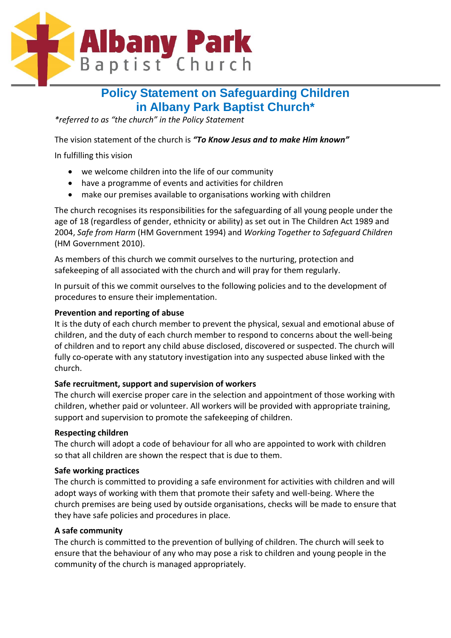

## **Policy Statement on Safeguarding Children in Albany Park Baptist Church\***

*\*referred to as "the church" in the Policy Statement*

The vision statement of the church is *"To Know Jesus and to make Him known"*

In fulfilling this vision

- we welcome children into the life of our community
- have a programme of events and activities for children
- make our premises available to organisations working with children

The church recognises its responsibilities for the safeguarding of all young people under the age of 18 (regardless of gender, ethnicity or ability) as set out in The Children Act 1989 and 2004, *Safe from Harm* (HM Government 1994) and *Working Together to Safeguard Children* (HM Government 2010).

As members of this church we commit ourselves to the nurturing, protection and safekeeping of all associated with the church and will pray for them regularly.

In pursuit of this we commit ourselves to the following policies and to the development of procedures to ensure their implementation.

#### **Prevention and reporting of abuse**

It is the duty of each church member to prevent the physical, sexual and emotional abuse of children, and the duty of each church member to respond to concerns about the well-being of children and to report any child abuse disclosed, discovered or suspected. The church will fully co-operate with any statutory investigation into any suspected abuse linked with the church.

#### **Safe recruitment, support and supervision of workers**

The church will exercise proper care in the selection and appointment of those working with children, whether paid or volunteer. All workers will be provided with appropriate training, support and supervision to promote the safekeeping of children.

#### **Respecting children**

The church will adopt a code of behaviour for all who are appointed to work with children so that all children are shown the respect that is due to them.

#### **Safe working practices**

The church is committed to providing a safe environment for activities with children and will adopt ways of working with them that promote their safety and well-being. Where the church premises are being used by outside organisations, checks will be made to ensure that they have safe policies and procedures in place.

#### **A safe community**

The church is committed to the prevention of bullying of children. The church will seek to ensure that the behaviour of any who may pose a risk to children and young people in the community of the church is managed appropriately.